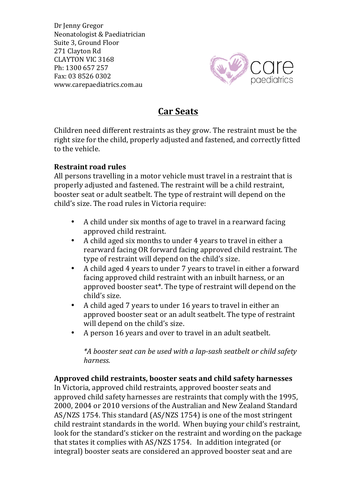Dr Jenny Gregor Neonatologist & Paediatrician Suite 3, Ground Floor 271 Clayton Rd CLAYTON VIC 3168 Ph: 1300 657 257 Fax: 03 8526 0302 www.carepaediatrics.com.au



# **Car Seats**

Children need different restraints as they grow. The restraint must be the right size for the child, properly adjusted and fastened, and correctly fitted to the vehicle.

## **Restraint road rules**

All persons travelling in a motor vehicle must travel in a restraint that is properly adjusted and fastened. The restraint will be a child restraint, booster seat or adult seatbelt. The type of restraint will depend on the child's size. The road rules in Victoria require:

- A child under six months of age to travel in a rearward facing approved child restraint.
- A child aged six months to under 4 years to travel in either a rearward facing OR forward facing approved child restraint. The type of restraint will depend on the child's size.
- A child aged 4 years to under 7 years to travel in either a forward facing approved child restraint with an inbuilt harness, or an approved booster seat<sup>\*</sup>. The type of restraint will depend on the child's size.
- A child aged 7 years to under 16 years to travel in either an approved booster seat or an adult seatbelt. The type of restraint will depend on the child's size.
- A person 16 years and over to travel in an adult seatbelt.

\*A booster seat can be used with a lap-sash seatbelt or child safety *harness.* 

### Approved child restraints, booster seats and child safety harnesses

In Victoria, approved child restraints, approved booster seats and approved child safety harnesses are restraints that comply with the 1995, 2000, 2004 or 2010 versions of the Australian and New Zealand Standard AS/NZS 1754. This standard (AS/NZS 1754) is one of the most stringent child restraint standards in the world. When buying your child's restraint, look for the standard's sticker on the restraint and wording on the package that states it complies with AS/NZS 1754. In addition integrated (or integral) booster seats are considered an approved booster seat and are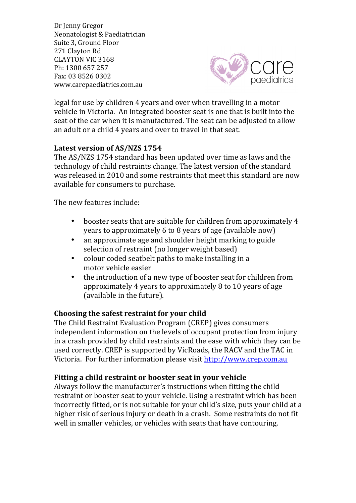Dr Jenny Gregor Neonatologist & Paediatrician Suite 3, Ground Floor 271 Clayton Rd CLAYTON VIC 3168 Ph: 1300 657 257 Fax: 03 8526 0302 www.carepaediatrics.com.au



legal for use by children 4 years and over when travelling in a motor vehicle in Victoria. An integrated booster seat is one that is built into the seat of the car when it is manufactured. The seat can be adjusted to allow an adult or a child 4 years and over to travel in that seat.

### Latest version of AS/NZS 1754

The AS/NZS 1754 standard has been updated over time as laws and the technology of child restraints change. The latest version of the standard was released in 2010 and some restraints that meet this standard are now available for consumers to purchase.

The new features include:

- booster seats that are suitable for children from approximately 4 years to approximately  $6$  to  $8$  years of age (available now)
- an approximate age and shoulder height marking to guide selection of restraint (no longer weight based)
- colour coded seatbelt paths to make installing in a motor vehicle easier
- the introduction of a new type of booster seat for children from approximately 4 years to approximately  $8$  to 10 years of age (available in the future).

### **Choosing the safest restraint for your child**

The Child Restraint Evaluation Program (CREP) gives consumers independent information on the levels of occupant protection from injury in a crash provided by child restraints and the ease with which they can be used correctly. CREP is supported by VicRoads, the RACV and the TAC in Victoria. For further information please visit http://www.crep.com.au

### Fitting a child restraint or booster seat in your vehicle

Always follow the manufacturer's instructions when fitting the child restraint or booster seat to your vehicle. Using a restraint which has been incorrectly fitted, or is not suitable for your child's size, puts your child at a higher risk of serious injury or death in a crash. Some restraints do not fit well in smaller vehicles, or vehicles with seats that have contouring.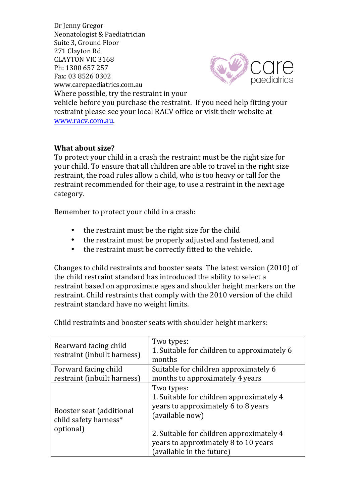Dr Jenny Gregor Neonatologist & Paediatrician Suite 3, Ground Floor 271 Clayton Rd CLAYTON VIC 3168 Ph: 1300 657 257 Fax: 03 8526 0302 www.carepaediatrics.com.au Where possible, try the restraint in your



vehicle before you purchase the restraint. If you need help fitting your restraint please see your local RACV office or visit their website at www.racv.com.au.

### **What about size?**

To protect your child in a crash the restraint must be the right size for your child. To ensure that all children are able to travel in the right size restraint, the road rules allow a child, who is too heavy or tall for the restraint recommended for their age, to use a restraint in the next age category.

Remember to protect your child in a crash:

- the restraint must be the right size for the child
- the restraint must be properly adjusted and fastened, and
- the restraint must be correctly fitted to the vehicle.

Changes to child restraints and booster seats The latest version (2010) of the child restraint standard has introduced the ability to select a restraint based on approximate ages and shoulder height markers on the restraint. Child restraints that comply with the 2010 version of the child restraint standard have no weight limits.

| Rearward facing child<br>restraint (inbuilt harness)           | Two types:<br>1. Suitable for children to approximately 6<br>months                                                                                                                                                               |
|----------------------------------------------------------------|-----------------------------------------------------------------------------------------------------------------------------------------------------------------------------------------------------------------------------------|
| Forward facing child<br>restraint (inbuilt harness)            | Suitable for children approximately 6<br>months to approximately 4 years                                                                                                                                                          |
| Booster seat (additional<br>child safety harness*<br>optional) | Two types:<br>1. Suitable for children approximately 4<br>years to approximately 6 to 8 years<br>(available now)<br>2. Suitable for children approximately 4<br>years to approximately 8 to 10 years<br>(available in the future) |

Child restraints and booster seats with shoulder height markers: